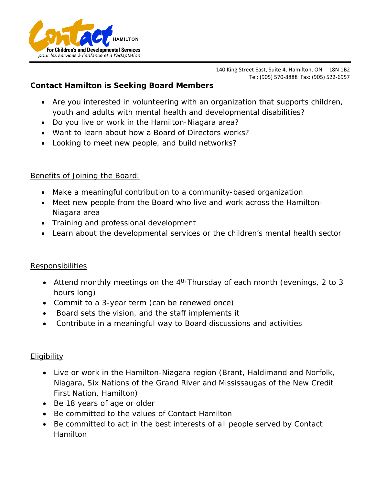

140 King Street East, Suite 4, Hamilton, ON L8N 1B2 Tel: (905) 570-8888 Fax: (905) 522-6957

## **Contact Hamilton is Seeking Board Members**

- Are you interested in volunteering with an organization that supports children, youth and adults with mental health and developmental disabilities?
- Do you live or work in the Hamilton-Niagara area?
- Want to learn about how a Board of Directors works?
- Looking to meet new people, and build networks?

## Benefits of Joining the Board:

- Make a meaningful contribution to a community-based organization
- Meet new people from the Board who live and work across the Hamilton-Niagara area
- Training and professional development
- Learn about the developmental services or the children's mental health sector

## Responsibilities

- Attend monthly meetings on the 4<sup>th</sup> Thursday of each month (evenings, 2 to 3 hours long)
- Commit to a 3-year term (can be renewed once)
- Board sets the vision, and the staff implements it
- Contribute in a meaningful way to Board discussions and activities

## Eligibility

- Live or work in the Hamilton-Niagara region (Brant, Haldimand and Norfolk, Niagara, Six Nations of the Grand River and Mississaugas of the New Credit First Nation, Hamilton)
- Be 18 years of age or older
- Be committed to the values of Contact Hamilton
- Be committed to act in the best interests of all people served by Contact Hamilton